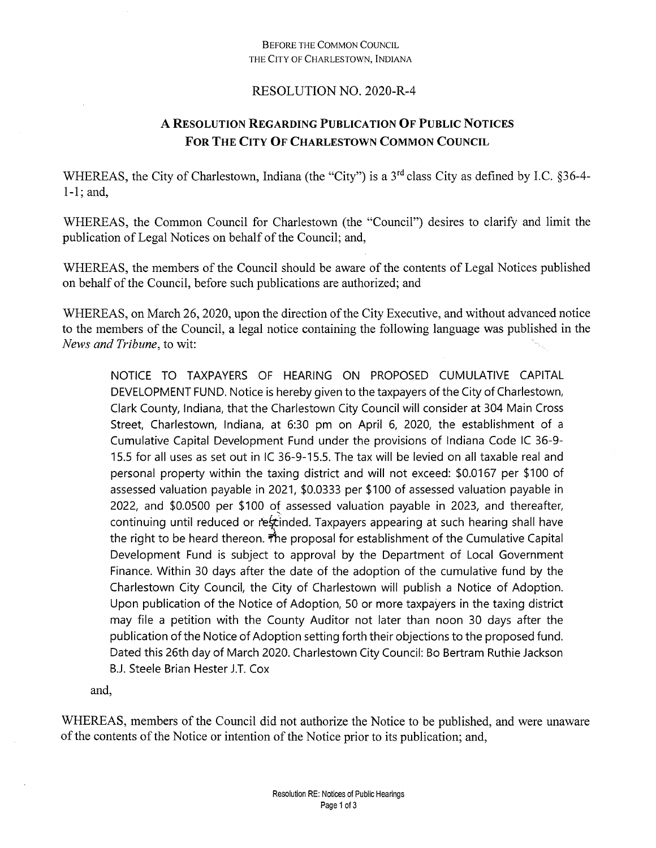## **BEFORE THE COMMON COUNCIL** THE CITY OF CHARLESTOWN, INDIANA

## RESOLUTION NO. 2020-R-4

## A RESOLUTION REGARDING PUBLICATION OF PUBLIC NOTICES FOR THE CITY OF CHARLESTOWN COMMON COUNCIL

WHEREAS, the City of Charlestown, Indiana (the "City") is a 3<sup>rd</sup> class City as defined by I.C. §36-4- $1-1$ ; and,

WHEREAS, the Common Council for Charlestown (the "Council") desires to clarify and limit the publication of Legal Notices on behalf of the Council; and,

WHEREAS, the members of the Council should be aware of the contents of Legal Notices published on behalf of the Council, before such publications are authorized; and

WHEREAS, on March 26, 2020, upon the direction of the City Executive, and without advanced notice to the members of the Council, a legal notice containing the following language was published in the News and Tribune, to wit:

NOTICE TO TAXPAYERS OF HEARING ON PROPOSED CUMULATIVE CAPITAL DEVELOPMENT FUND. Notice is hereby given to the taxpayers of the City of Charlestown, Clark County, Indiana, that the Charlestown City Council will consider at 304 Main Cross Street, Charlestown, Indiana, at 6:30 pm on April 6, 2020, the establishment of a Cumulative Capital Development Fund under the provisions of Indiana Code IC 36-9-15.5 for all uses as set out in IC 36-9-15.5. The tax will be levied on all taxable real and personal property within the taxing district and will not exceed: \$0.0167 per \$100 of assessed valuation payable in 2021, \$0.0333 per \$100 of assessed valuation payable in 2022, and \$0.0500 per \$100 of assessed valuation payable in 2023, and thereafter, continuing until reduced or rescinded. Taxpayers appearing at such hearing shall have the right to be heard thereon. The proposal for establishment of the Cumulative Capital Development Fund is subject to approval by the Department of Local Government Finance. Within 30 days after the date of the adoption of the cumulative fund by the Charlestown City Council, the City of Charlestown will publish a Notice of Adoption. Upon publication of the Notice of Adoption, 50 or more taxpayers in the taxing district may file a petition with the County Auditor not later than noon 30 days after the publication of the Notice of Adoption setting forth their objections to the proposed fund. Dated this 26th day of March 2020. Charlestown City Council: Bo Bertram Ruthie Jackson B.J. Steele Brian Hester J.T. Cox

and,

WHEREAS, members of the Council did not authorize the Notice to be published, and were unaware of the contents of the Notice or intention of the Notice prior to its publication; and,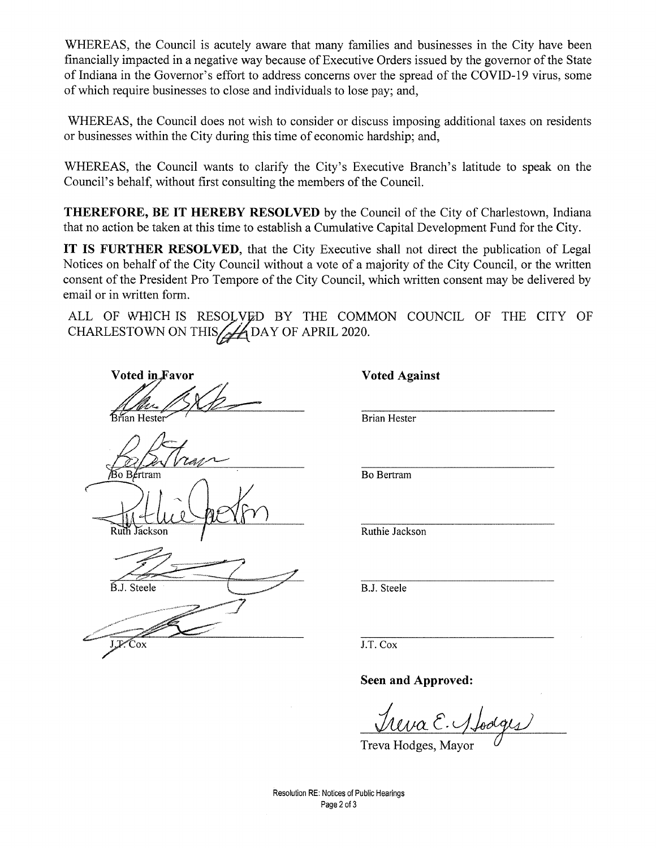WHEREAS, the Council is acutely aware that many families and businesses in the City have been financially impacted in a negative way because of Executive Orders issued by the governor of the State of Indiana in the Governor's effort to address concerns over the spread of the COVID-19 virus, some ofwhich require businesses to close and individuals to lose pay; and,

WHEREAS, the Council does not wish to consider or discuss imposing additional taxes on residents or businesses within the City during this time of economic hardship; and,

WHEREAS, the Council wants to clarify the City's Executive Branch's latitude to speak on the Council's behalf, without first consulting the members of the Council.

**THEREFORE, BE IT HEREBY RESOLVED** by the Council of the City of Charlestown, Indiana that no action be taken at this time to establish a Cumulative Capital Development Fund for the City.

**IT IS FURTHER RESOLVED,** that the City Executive shall not direct the publication of Legal Notices on behalf of the City Council without a vote of a majority of the City Council, or the written consent of the President Pro Tempore of the City Council, which written consent may be delivered by email or in written form.

ALL OF WHICH IS RESOLVED BY THE COMMON COUNCIL OF THE CITY OF CHARLESTOWN ON THIS BAY OF APRIL 2020.

**Voted inJFavor Voted Against**

**Bo Bertram** Jáckson

B.J. Steele

J.F.Cox

Brian Hester

Bo Bertram

Ruthie Jackson

B.J. Steele

J.T. Cox

**Seen and Approved:**

Treva E. 1 Loolges

Resolution RE: Notices of Public Hearings Page 2 of 3